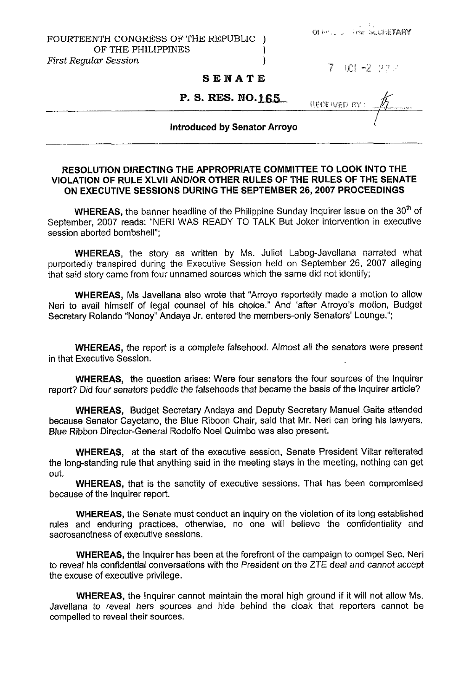| <b>不适</b> 的人。" |  |  | THE DECHETARY |
|----------------|--|--|---------------|

## FOURTEENTH CONGRESS OF THE REPUBLIC OF THE PHILIPPINES  $|ar\,S\,e$ ssion 1  $First$  *Regular Session*

*..~j* ijc:[ -2 :,>I:',

## **SENATE**

**P. S. RES. NO.165. HECE WED RY** 

## **Introduced by Senator Arroyo**

## **RESOLUTION DIRECTING THE APPROPRIATE COMMITTEE TO LOOK INTO THE VIOLATION OF RULE XLVll AND/OR OTHER RULES OF THE RULES OF THE SENATE ON EXECUTIVE SESSIONS DURING THE SEPTEMBER 26,2007 PROCEEDINGS**

**WHEREAS,** the banner headline of the Philippine Sunday Inquirer issue on the 30<sup>th</sup> of September, 2007 reads: "NERI WAS READY **TO** TALK But Joker intervention in executive session aborted bombshell";

**WHEREAS,** the story as written by Ms. Juliet Labog-Javellana narrated what purportedly transpired during the Executive Session held on September 26, 2007 alleging that said story came from four unnamed sources which the same did not identify;

**WHEREAS,** Ms Javellana also wrote that "Arroyo reportedly made a motion to allow Neri to avail himself of legal counsel of his choice." And 'after Arroyo's motion, Budget Secretary Rolando "Nonoy" Andaya Jr. entered the members-only Senators' Lounge.";

**WHEREAS,** the report is a complete falsehood. Almost all the senators were present in that Executive Session.

**WHEREAS,** the question arises: Were four senators the four sources of the Inquirer report? Did four senators peddle the falsehoods that became the basis of the Inquirer article?

**WHEREAS,** Budget Secretary Andaya and Deputy Secretary Manuel .Gaite attended because Senator Cayetano, the Blue Riboon Chair, said that Mr. Neri can bring his lawyers. Blue Ribbon Director-General Rodolfo Noel Quimbo was also present.

**WHEREAS,** at the start of the executive session, Senate President Villar reiterated the long-standing rule that anything said in the meeting stays in the meeting, nothing can get out.

**WHEREAS,** that is the sanctity of executive sessions. That has been compromised because of the Inquirer report.

**WHEREAS,** the Senate must conduct an inquiry on the violation of its long established rules and enduring practices, otherwise, no one will believe the confidentiality and sacrosanctness of executive sessions.

**WHEREAS,** the Inquirer has been at the forefront of the campaign to compel Sec. Neri to reveal his confidential conversations with the President on the ZTE deal and cannot accept the excuse of executive privilege.

**WHEREAS,** the Inquirer cannot maintain the moral high ground if it will not allow Ms. Javellana to reveal hers sources and hide behind the cloak that reporters cannot be compelled to reveal their sources.